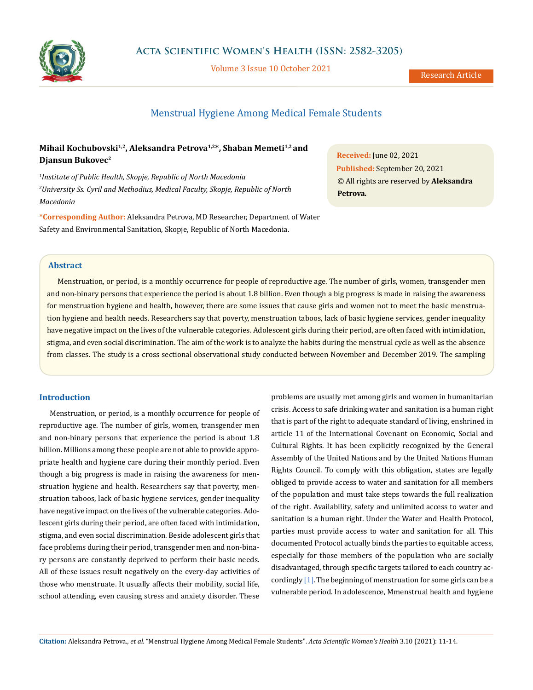

Volume 3 Issue 10 October 2021

# Menstrual Hygiene Among Medical Female Students

# **Mihail Kochubovski1,2, Aleksandra Petrova1,2\*, Shaban Memeti1,2 and Djansun Bukovec2**

*1 Institute of Public Health, Skopje, Republic of North Macedonia 2 University Ss. Cyril and Methodius, Medical Faculty, Skopje, Republic of North Macedonia*

**\*Corresponding Author:** Aleksandra Petrova, MD Researcher, Department of Water Safety and Environmental Sanitation, Skopje, Republic of North Macedonia.

**Received:** June 02, 2021 **Published:** September 20, 2021 © All rights are reserved by **Aleksandra Petrova***.*

## **Abstract**

Menstruation, or period, is a monthly occurrence for people of reproductive age. The number of girls, women, transgender men and non-binary persons that experience the period is about 1.8 billion. Even though a big progress is made in raising the awareness for menstruation hygiene and health, however, there are some issues that cause girls and women not to meet the basic menstruation hygiene and health needs. Researchers say that poverty, menstruation taboos, lack of basic hygiene services, gender inequality have negative impact on the lives of the vulnerable categories. Adolescent girls during their period, are often faced with intimidation, stigma, and even social discrimination. The aim of the work is to analyze the habits during the menstrual cycle as well as the absence from classes. The study is a cross sectional observational study conducted between November and December 2019. The sampling

### **Introduction**

Menstruation, or period, is a monthly occurrence for people of reproductive age. The number of girls, women, transgender men and non-binary persons that experience the period is about 1.8 billion. Millions among these people are not able to provide appropriate health and hygiene care during their monthly period. Even though a big progress is made in raising the awareness for menstruation hygiene and health. Researchers say that poverty, menstruation taboos, lack of basic hygiene services, gender inequality have negative impact on the lives of the vulnerable categories. Adolescent girls during their period, are often faced with intimidation, stigma, and even social discrimination. Beside adolescent girls that face problems during their period, transgender men and non-binary persons are constantly deprived to perform their basic needs. All of these issues result negatively on the every-day activities of those who menstruate. It usually affects their mobility, social life, school attending, even causing stress and anxiety disorder. These problems are usually met among girls and women in humanitarian crisis. Access to safe drinking water and sanitation is a human right that is part of the right to adequate standard of living, enshrined in article 11 of the International Covenant on Economic, Social and Cultural Rights. It has been explicitly recognized by the General Assembly of the United Nations and by the United Nations Human Rights Council. To comply with this obligation, states are legally obliged to provide access to water and sanitation for all members of the population and must take steps towards the full realization of the right. Availability, safety and unlimited access to water and sanitation is a human right. Under the Water and Health Protocol, parties must provide access to water and sanitation for all. This documented Protocol actually binds the parties to equitable access, especially for those members of the population who are socially disadvantaged, through specific targets tailored to each country accordingly  $[1]$ . The beginning of menstruation for some girls can be a vulnerable period. In adolescence, Мmenstrual health and hygiene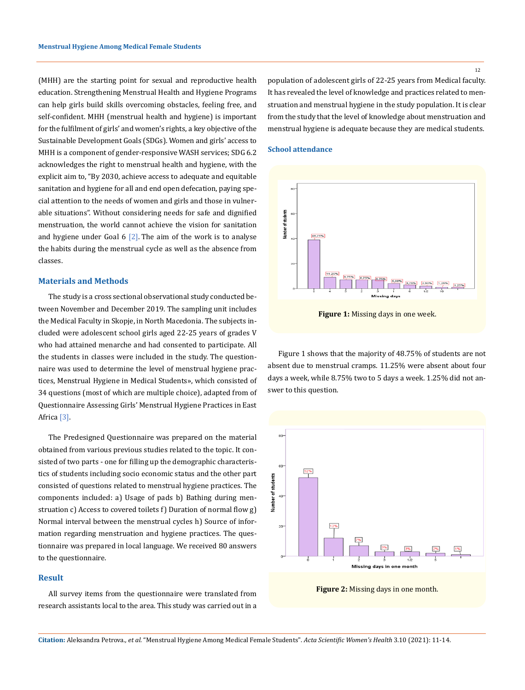(MHH) are the starting point for sexual and reproductive health education. Strengthening Menstrual Health and Hygiene Programs can help girls build skills overcoming obstacles, feeling free, and self-confident. MHH (menstrual health and hygiene) is important for the fulfilment of girls' and women's rights, a key objective of the Sustainable Development Goals (SDGs). Women and girls' access to MHH is a component of gender-responsive WASH services; SDG 6.2 acknowledges the right to menstrual health and hygiene, with the explicit aim to, "By 2030, achieve access to adequate and equitable sanitation and hygiene for all and end open defecation, paying special attention to the needs of women and girls and those in vulnerable situations". Without considering needs for safe and dignified menstruation, the world cannot achieve the vision for sanitation and hygiene under Goal  $6$  [2]. The aim of the work is to analyse the habits during the menstrual cycle as well as the absence from classes.

## **Materials and Methods**

The study is a cross sectional observational study conducted between November and December 2019. The sampling unit includes the Medical Faculty in Skopje, in North Macedonia. The subjects included were adolescent school girls aged 22-25 years of grades V who had attained menarche and had consented to participate. All the students in classes were included in the study. The questionnaire was used to determine the level of menstrual hygiene practices, Menstrual Hygiene in Medical Students», which consisted of 34 questions (most of which are multiple choice), adapted from of Questionnaire Assessing Girls' Menstrual Hygiene Practices in East Africa [3].

The Predesigned Questionnaire was prepared on the material obtained from various previous studies related to the topic. It consisted of two parts - one for filling up the demographic characteristics of students including socio economic status and the other part consisted of questions related to menstrual hygiene practices. The components included: a) Usage of pads b) Bathing during menstruation c) Access to covered toilets f) Duration of normal flow g) Normal interval between the menstrual cycles h) Source of information regarding menstruation and hygiene practices. The questionnaire was prepared in local language. We received 80 answers to the questionnaire.

## **Result**

All survey items from the questionnaire were translated from research assistants local to the area. This study was carried out in a population of adolescent girls of 22-25 years from Medical faculty. It has revealed the level of knowledge and practices related to menstruation and menstrual hygiene in the study population. It is clear from the study that the level of knowledge about menstruation and menstrual hygiene is adequate because they are medical students.

#### **School attendance**



**Figure 1:** Missing days in one week.

Figure 1 shows that the majority of 48.75% of students are not absent due to menstrual cramps. 11.25% were absent about four days a week, while 8.75% two to 5 days a week. 1.25% did not answer to this question.



**Figure 2:** Missing days in one month.

12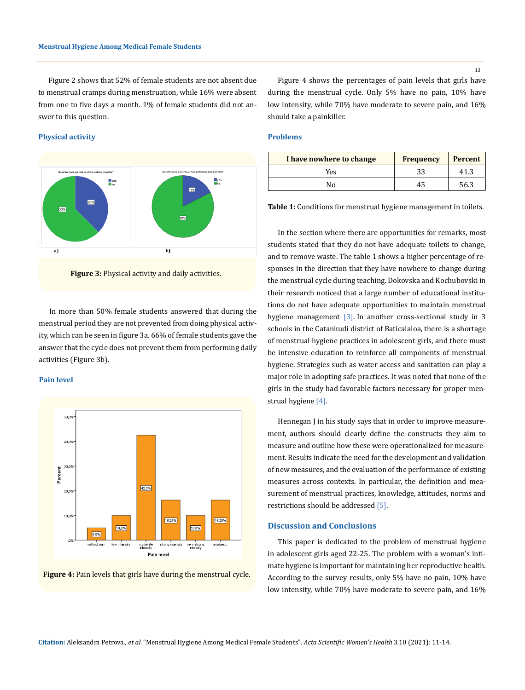Figure 2 shows that 52% of female students are not absent due to menstrual cramps during menstruation, while 16% were absent from one to five days a month. 1% of female students did not answer to this question.

#### **Physical activity**





In more than 50% female students answered that during the menstrual period they are not prevented from doing physical activity, which can be seen in figure 3a. 66% of female students gave the answer that the cycle does not prevent them from performing daily activities (Figure 3b).

#### **Pain level**



**Figure 4:** Pain levels that girls have during the menstrual cycle.

Figure 4 shows the percentages of pain levels that girls have during the menstrual cycle. Only 5% have no pain, 10% have low intensity, while 70% have moderate to severe pain, and 16% should take a painkiller.

## **Problems**

| I have nowhere to change | <b>Frequency</b> | <b>Percent</b> |
|--------------------------|------------------|----------------|
| Yes                      | 33               | 41.3           |
| N٥                       | 45               | 56.3           |

**Table 1:** Conditions for menstrual hygiene management in toilets.

In the section where there are opportunities for remarks, most students stated that they do not have adequate toilets to change, and to remove waste. The table 1 shows a higher percentage of responses in the direction that they have nowhere to change during the menstrual cycle during teaching. Dokovska and Kochubovski in their research noticed that a large number of educational institutions do not have adequate opportunities to maintain menstrual hygiene management [3]. In another cross-sectional study in 3 schools in the Catankudi district of Baticalaloa, there is a shortage of menstrual hygiene practices in adolescent girls, and there must be intensive education to reinforce all components of menstrual hygiene. Strategies such as water access and sanitation can play a major role in adopting safe practices. It was noted that none of the girls in the study had favorable factors necessary for proper menstrual hygiene [4].

Hennegan J in his study says that in order to improve measurement, authors should clearly define the constructs they aim to measure and outline how these were operationalized for measurement. Results indicate the need for the development and validation of new measures, and the evaluation of the performance of existing measures across contexts. In particular, the definition and measurement of menstrual practices, knowledge, attitudes, norms and restrictions should be addressed [5].

#### **Discussion and Conclusions**

This paper is dedicated to the problem of menstrual hygiene in adolescent girls aged 22-25. The problem with a woman's intimate hygiene is important for maintaining her reproductive health. According to the survey results, only 5% have no pain, 10% have low intensity, while 70% have moderate to severe pain, and 16%